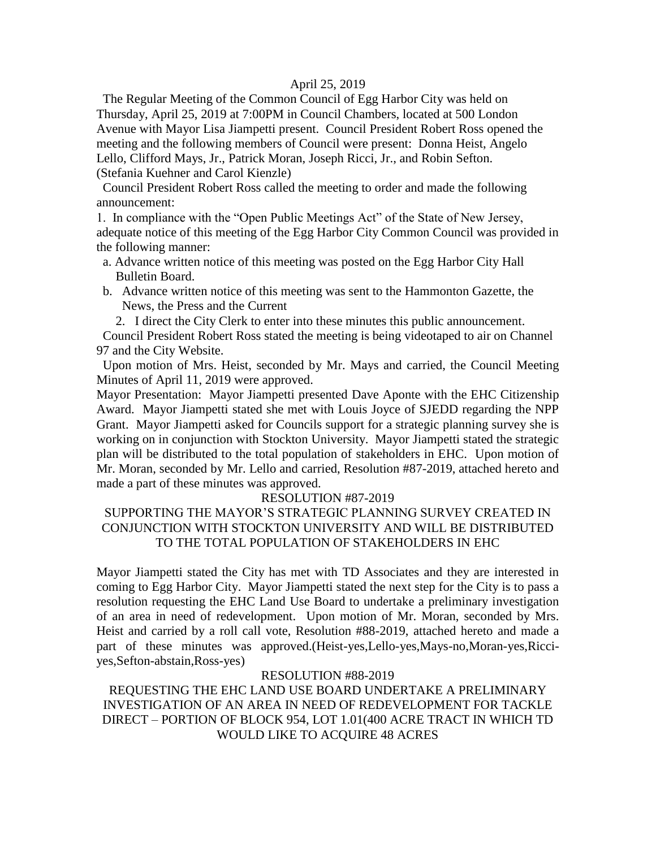#### April 25, 2019

 The Regular Meeting of the Common Council of Egg Harbor City was held on Thursday, April 25, 2019 at 7:00PM in Council Chambers, located at 500 London Avenue with Mayor Lisa Jiampetti present. Council President Robert Ross opened the meeting and the following members of Council were present: Donna Heist, Angelo Lello, Clifford Mays, Jr., Patrick Moran, Joseph Ricci, Jr., and Robin Sefton. (Stefania Kuehner and Carol Kienzle)

 Council President Robert Ross called the meeting to order and made the following announcement:

1. In compliance with the "Open Public Meetings Act" of the State of New Jersey, adequate notice of this meeting of the Egg Harbor City Common Council was provided in the following manner:

- a. Advance written notice of this meeting was posted on the Egg Harbor City Hall Bulletin Board.
- b. Advance written notice of this meeting was sent to the Hammonton Gazette, the News, the Press and the Current

2. I direct the City Clerk to enter into these minutes this public announcement.

 Council President Robert Ross stated the meeting is being videotaped to air on Channel 97 and the City Website.

 Upon motion of Mrs. Heist, seconded by Mr. Mays and carried, the Council Meeting Minutes of April 11, 2019 were approved.

Mayor Presentation: Mayor Jiampetti presented Dave Aponte with the EHC Citizenship Award. Mayor Jiampetti stated she met with Louis Joyce of SJEDD regarding the NPP Grant. Mayor Jiampetti asked for Councils support for a strategic planning survey she is working on in conjunction with Stockton University. Mayor Jiampetti stated the strategic plan will be distributed to the total population of stakeholders in EHC. Upon motion of Mr. Moran, seconded by Mr. Lello and carried, Resolution #87-2019, attached hereto and made a part of these minutes was approved.

#### RESOLUTION #87-2019

## SUPPORTING THE MAYOR'S STRATEGIC PLANNING SURVEY CREATED IN CONJUNCTION WITH STOCKTON UNIVERSITY AND WILL BE DISTRIBUTED TO THE TOTAL POPULATION OF STAKEHOLDERS IN EHC

Mayor Jiampetti stated the City has met with TD Associates and they are interested in coming to Egg Harbor City. Mayor Jiampetti stated the next step for the City is to pass a resolution requesting the EHC Land Use Board to undertake a preliminary investigation of an area in need of redevelopment. Upon motion of Mr. Moran, seconded by Mrs. Heist and carried by a roll call vote, Resolution #88-2019, attached hereto and made a part of these minutes was approved.(Heist-yes,Lello-yes,Mays-no,Moran-yes,Ricciyes,Sefton-abstain,Ross-yes)

#### RESOLUTION #88-2019

REQUESTING THE EHC LAND USE BOARD UNDERTAKE A PRELIMINARY INVESTIGATION OF AN AREA IN NEED OF REDEVELOPMENT FOR TACKLE DIRECT – PORTION OF BLOCK 954, LOT 1.01(400 ACRE TRACT IN WHICH TD WOULD LIKE TO ACQUIRE 48 ACRES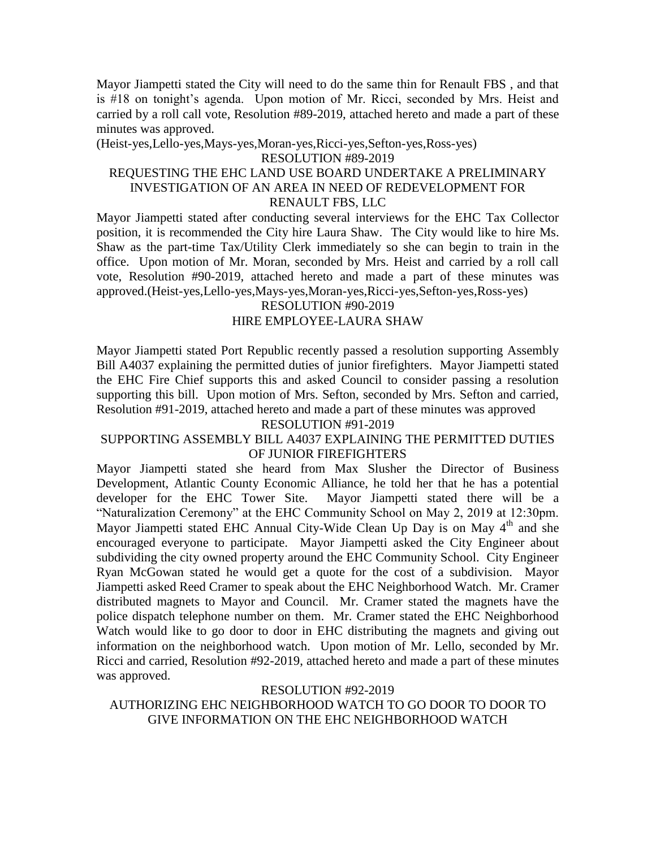Mayor Jiampetti stated the City will need to do the same thin for Renault FBS , and that is #18 on tonight's agenda. Upon motion of Mr. Ricci, seconded by Mrs. Heist and carried by a roll call vote, Resolution #89-2019, attached hereto and made a part of these minutes was approved.

(Heist-yes,Lello-yes,Mays-yes,Moran-yes,Ricci-yes,Sefton-yes,Ross-yes)

#### RESOLUTION #89-2019

#### REQUESTING THE EHC LAND USE BOARD UNDERTAKE A PRELIMINARY INVESTIGATION OF AN AREA IN NEED OF REDEVELOPMENT FOR RENAULT FBS, LLC

Mayor Jiampetti stated after conducting several interviews for the EHC Tax Collector position, it is recommended the City hire Laura Shaw. The City would like to hire Ms. Shaw as the part-time Tax/Utility Clerk immediately so she can begin to train in the office. Upon motion of Mr. Moran, seconded by Mrs. Heist and carried by a roll call vote, Resolution #90-2019, attached hereto and made a part of these minutes was approved.(Heist-yes,Lello-yes,Mays-yes,Moran-yes,Ricci-yes,Sefton-yes,Ross-yes)

#### RESOLUTION #90-2019 HIRE EMPLOYEE-LAURA SHAW

Mayor Jiampetti stated Port Republic recently passed a resolution supporting Assembly Bill A4037 explaining the permitted duties of junior firefighters. Mayor Jiampetti stated the EHC Fire Chief supports this and asked Council to consider passing a resolution supporting this bill. Upon motion of Mrs. Sefton, seconded by Mrs. Sefton and carried, Resolution #91-2019, attached hereto and made a part of these minutes was approved

#### RESOLUTION #91-2019

## SUPPORTING ASSEMBLY BILL A4037 EXPLAINING THE PERMITTED DUTIES OF JUNIOR FIREFIGHTERS

Mayor Jiampetti stated she heard from Max Slusher the Director of Business Development, Atlantic County Economic Alliance, he told her that he has a potential developer for the EHC Tower Site. Mayor Jiampetti stated there will be a "Naturalization Ceremony" at the EHC Community School on May 2, 2019 at 12:30pm. Mayor Jiampetti stated EHC Annual City-Wide Clean Up Day is on May 4<sup>th</sup> and she encouraged everyone to participate. Mayor Jiampetti asked the City Engineer about subdividing the city owned property around the EHC Community School. City Engineer Ryan McGowan stated he would get a quote for the cost of a subdivision. Mayor Jiampetti asked Reed Cramer to speak about the EHC Neighborhood Watch. Mr. Cramer distributed magnets to Mayor and Council. Mr. Cramer stated the magnets have the police dispatch telephone number on them. Mr. Cramer stated the EHC Neighborhood Watch would like to go door to door in EHC distributing the magnets and giving out information on the neighborhood watch. Upon motion of Mr. Lello, seconded by Mr. Ricci and carried, Resolution #92-2019, attached hereto and made a part of these minutes was approved.

#### RESOLUTION #92-2019

AUTHORIZING EHC NEIGHBORHOOD WATCH TO GO DOOR TO DOOR TO GIVE INFORMATION ON THE EHC NEIGHBORHOOD WATCH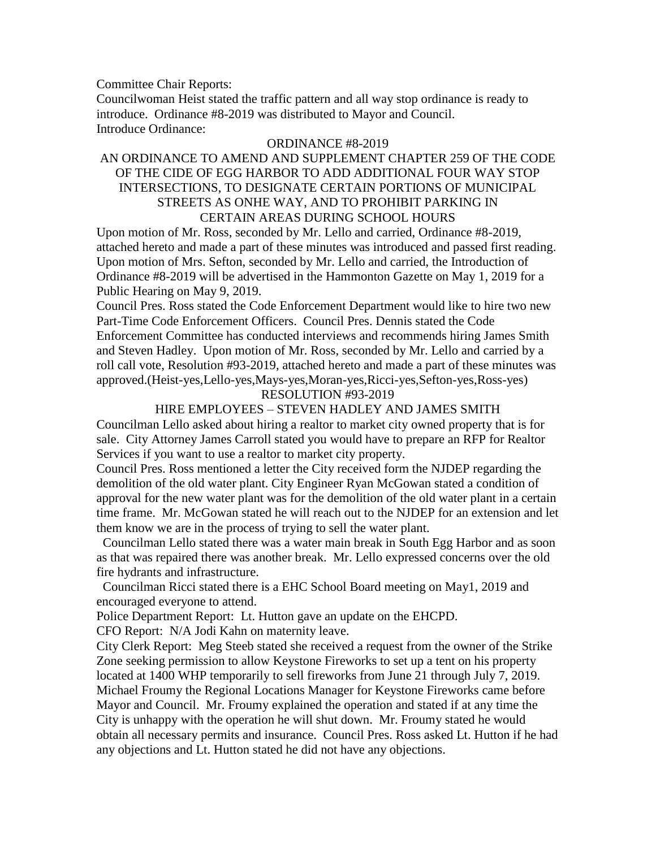Committee Chair Reports:

Councilwoman Heist stated the traffic pattern and all way stop ordinance is ready to introduce. Ordinance #8-2019 was distributed to Mayor and Council. Introduce Ordinance:

#### ORDINANCE #8-2019

## AN ORDINANCE TO AMEND AND SUPPLEMENT CHAPTER 259 OF THE CODE OF THE CIDE OF EGG HARBOR TO ADD ADDITIONAL FOUR WAY STOP INTERSECTIONS, TO DESIGNATE CERTAIN PORTIONS OF MUNICIPAL STREETS AS ONHE WAY, AND TO PROHIBIT PARKING IN CERTAIN AREAS DURING SCHOOL HOURS

Upon motion of Mr. Ross, seconded by Mr. Lello and carried, Ordinance #8-2019, attached hereto and made a part of these minutes was introduced and passed first reading. Upon motion of Mrs. Sefton, seconded by Mr. Lello and carried, the Introduction of Ordinance #8-2019 will be advertised in the Hammonton Gazette on May 1, 2019 for a Public Hearing on May 9, 2019.

Council Pres. Ross stated the Code Enforcement Department would like to hire two new Part-Time Code Enforcement Officers. Council Pres. Dennis stated the Code Enforcement Committee has conducted interviews and recommends hiring James Smith and Steven Hadley. Upon motion of Mr. Ross, seconded by Mr. Lello and carried by a roll call vote, Resolution #93-2019, attached hereto and made a part of these minutes was approved.(Heist-yes,Lello-yes,Mays-yes,Moran-yes,Ricci-yes,Sefton-yes,Ross-yes)

#### RESOLUTION #93-2019

### HIRE EMPLOYEES – STEVEN HADLEY AND JAMES SMITH

Councilman Lello asked about hiring a realtor to market city owned property that is for sale. City Attorney James Carroll stated you would have to prepare an RFP for Realtor Services if you want to use a realtor to market city property.

Council Pres. Ross mentioned a letter the City received form the NJDEP regarding the demolition of the old water plant. City Engineer Ryan McGowan stated a condition of approval for the new water plant was for the demolition of the old water plant in a certain time frame. Mr. McGowan stated he will reach out to the NJDEP for an extension and let them know we are in the process of trying to sell the water plant.

 Councilman Lello stated there was a water main break in South Egg Harbor and as soon as that was repaired there was another break. Mr. Lello expressed concerns over the old fire hydrants and infrastructure.

 Councilman Ricci stated there is a EHC School Board meeting on May1, 2019 and encouraged everyone to attend.

Police Department Report: Lt. Hutton gave an update on the EHCPD.

CFO Report: N/A Jodi Kahn on maternity leave.

City Clerk Report: Meg Steeb stated she received a request from the owner of the Strike Zone seeking permission to allow Keystone Fireworks to set up a tent on his property located at 1400 WHP temporarily to sell fireworks from June 21 through July 7, 2019. Michael Froumy the Regional Locations Manager for Keystone Fireworks came before Mayor and Council. Mr. Froumy explained the operation and stated if at any time the City is unhappy with the operation he will shut down. Mr. Froumy stated he would obtain all necessary permits and insurance. Council Pres. Ross asked Lt. Hutton if he had any objections and Lt. Hutton stated he did not have any objections.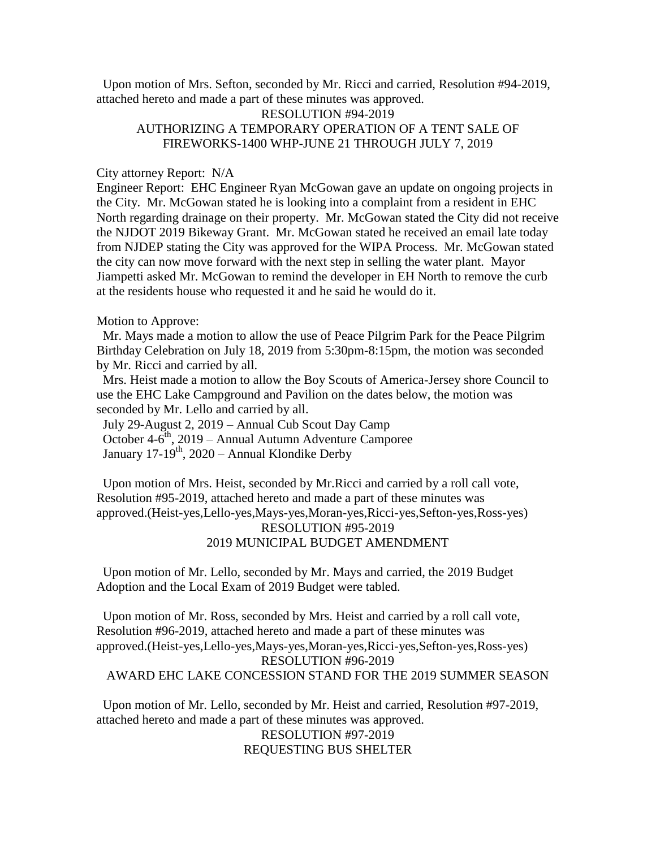Upon motion of Mrs. Sefton, seconded by Mr. Ricci and carried, Resolution #94-2019, attached hereto and made a part of these minutes was approved.

## RESOLUTION #94-2019 AUTHORIZING A TEMPORARY OPERATION OF A TENT SALE OF FIREWORKS-1400 WHP-JUNE 21 THROUGH JULY 7, 2019

#### City attorney Report: N/A

Engineer Report: EHC Engineer Ryan McGowan gave an update on ongoing projects in the City. Mr. McGowan stated he is looking into a complaint from a resident in EHC North regarding drainage on their property. Mr. McGowan stated the City did not receive the NJDOT 2019 Bikeway Grant. Mr. McGowan stated he received an email late today from NJDEP stating the City was approved for the WIPA Process. Mr. McGowan stated the city can now move forward with the next step in selling the water plant. Mayor Jiampetti asked Mr. McGowan to remind the developer in EH North to remove the curb at the residents house who requested it and he said he would do it.

#### Motion to Approve:

 Mr. Mays made a motion to allow the use of Peace Pilgrim Park for the Peace Pilgrim Birthday Celebration on July 18, 2019 from 5:30pm-8:15pm, the motion was seconded by Mr. Ricci and carried by all.

 Mrs. Heist made a motion to allow the Boy Scouts of America-Jersey shore Council to use the EHC Lake Campground and Pavilion on the dates below, the motion was seconded by Mr. Lello and carried by all.

 July 29-August 2, 2019 – Annual Cub Scout Day Camp October 4-6<sup>th</sup>, 2019 – Annual Autumn Adventure Camporee January 17-19<sup>th</sup>, 2020 – Annual Klondike Derby

 Upon motion of Mrs. Heist, seconded by Mr.Ricci and carried by a roll call vote, Resolution #95-2019, attached hereto and made a part of these minutes was approved.(Heist-yes,Lello-yes,Mays-yes,Moran-yes,Ricci-yes,Sefton-yes,Ross-yes) RESOLUTION #95-2019 2019 MUNICIPAL BUDGET AMENDMENT

 Upon motion of Mr. Lello, seconded by Mr. Mays and carried, the 2019 Budget Adoption and the Local Exam of 2019 Budget were tabled.

 Upon motion of Mr. Ross, seconded by Mrs. Heist and carried by a roll call vote, Resolution #96-2019, attached hereto and made a part of these minutes was approved.(Heist-yes,Lello-yes,Mays-yes,Moran-yes,Ricci-yes,Sefton-yes,Ross-yes) RESOLUTION #96-2019 AWARD EHC LAKE CONCESSION STAND FOR THE 2019 SUMMER SEASON

 Upon motion of Mr. Lello, seconded by Mr. Heist and carried, Resolution #97-2019, attached hereto and made a part of these minutes was approved. RESOLUTION #97-2019 REQUESTING BUS SHELTER